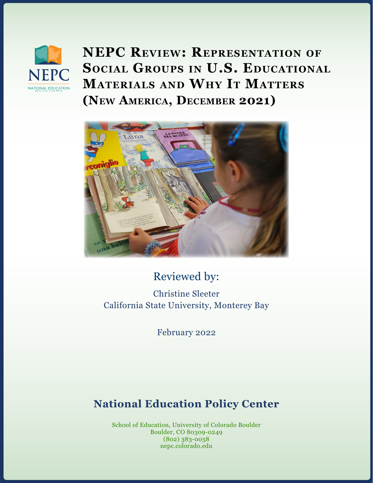

**NEPC Review: Representation of Social Groups in U.S. Educational Materials and Why It Matters (New America, December 2021)**



## Reviewed by:

Christine Sleeter California State University, Monterey Bay

February 2022

## **National Education Policy Center**

School of Education, University of Colorado Boulder Boulder, CO 80309-0249 (802) 383-0058 nepc.colorado.edu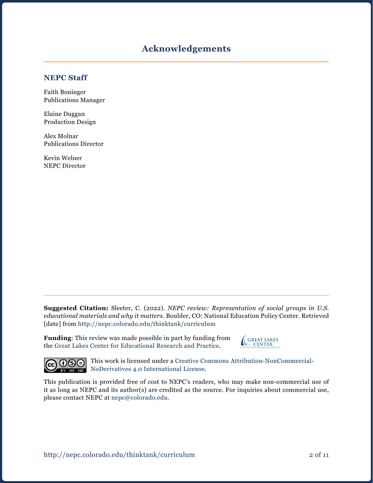#### **Acknowledgements**

#### **NEPC Staff**

Faith Boninger Publications Manager

Elaine Duggan Production Design

Alex Molnar Publications Director

Kevin Welner NEPC Director

**Suggested Citation:** Sleeter, C. (2022). *NEPC review: Representation of social groups in U.S. educational materials and why it matters.* Boulder, CO: National Education Policy Center. Retrieved [date] from <http://nepc.colorado.edu/thinktank/curriculum>

**Funding**: This review was made possible in part by funding from the [Great Lakes Center for Educational Research and Practice](http://www.greatlakescenter.org).





This work is licensed under a [Creative Commons Attribution-NonCommercial-](https://creativecommons.org/licenses/by-nc-nd/4.0/)BY NODER NODER NODER NODER NO International License.

This publication is provided free of cost to NEPC's readers, who may make non-commercial use of it as long as NEPC and its author(s) are credited as the source. For inquiries about commercial use, please contact NEPC at [nepc@colorado.edu](mailto:nepc%40colorado.edu?subject=).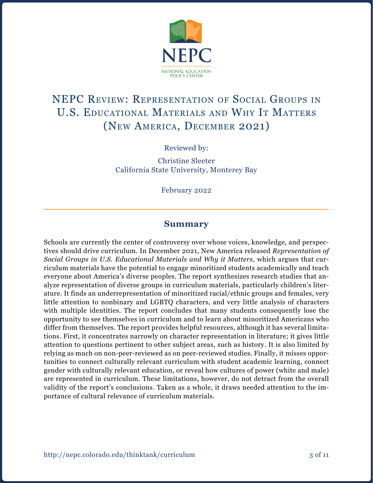

# NEPC Review: Representation of Social Groups in U.S. Educational Materials and Why It Matters (New America, December 2021)

Reviewed by:

Christine Sleeter California State University, Monterey Bay

February 2022

#### **Summary**

Schools are currently the center of controversy over whose voices, knowledge, and perspectives should drive curriculum. In December 2021, New America released *Representation of Social Groups in U.S. Educational Materials and Why it Matters*, which argues that curriculum materials have the potential to engage minoritized students academically and teach everyone about America's diverse peoples. The report synthesizes research studies that analyze representation of diverse groups in curriculum materials, particularly children's literature. It finds an underrepresentation of minoritized racial/ethnic groups and females, very little attention to nonbinary and LGBTQ characters, and very little analysis of characters with multiple identities. The report concludes that many students consequently lose the opportunity to see themselves in curriculum and to learn about minoritized Americans who differ from themselves. The report provides helpful resources, although it has several limitations. First, it concentrates narrowly on character representation in literature; it gives little attention to questions pertinent to other subject areas, such as history. It is also limited by relying as much on non-peer-reviewed as on peer-reviewed studies. Finally, it misses opportunities to connect culturally relevant curriculum with student academic learning, connect gender with culturally relevant education, or reveal how cultures of power (white and male) are represented in curriculum. These limitations, however, do not detract from the overall validity of the report's conclusions. Taken as a whole, it draws needed attention to the importance of cultural relevance of curriculum materials.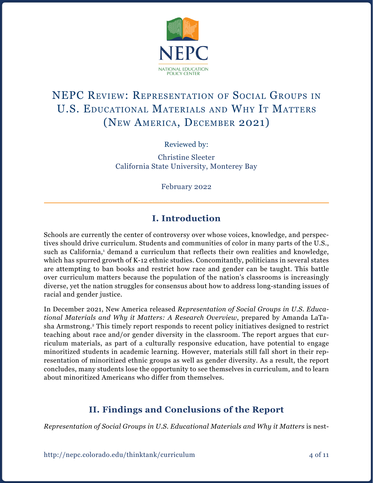

# NEPC Review: Representation of Social Groups in U.S. Educational Materials and Why It Matters (New America, December 2021)

Reviewed by:

Christine Sleeter California State University, Monterey Bay

February 2022

## **I. Introduction**

Schools are currently the center of controversy over whose voices, knowledge, and perspectives should drive curriculum. Students and communities of color in many parts of the U.S., such as California,<sup>1</sup> demand a curriculum that reflects their own realities and knowledge, which has spurred growth of K-12 ethnic studies. Concomitantly, politicians in several states are attempting to ban books and restrict how race and gender can be taught. This battle over curriculum matters because the population of the nation's classrooms is increasingly diverse, yet the nation struggles for consensus about how to address long-standing issues of racial and gender justice.

In December 2021, New America released *Representation of Social Groups in U.S. Educational Materials and Why it Matters: A Research Overview*, prepared by Amanda LaTasha Armstrong.2 This timely report responds to recent policy initiatives designed to restrict teaching about race and/or gender diversity in the classroom. The report argues that curriculum materials, as part of a culturally responsive education, have potential to engage minoritized students in academic learning. However, materials still fall short in their representation of minoritized ethnic groups as well as gender diversity. As a result, the report concludes, many students lose the opportunity to see themselves in curriculum, and to learn about minoritized Americans who differ from themselves.

## **II. Findings and Conclusions of the Report**

*Representation of Social Groups in U.S. Educational Materials and Why it Matters* is nest-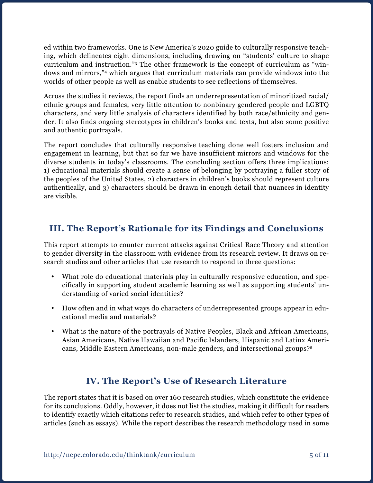ed within two frameworks. One is New America's 2020 guide to culturally responsive teaching, which delineates eight dimensions, including drawing on "students' culture to shape curriculum and instruction."3 The other framework is the concept of curriculum as "windows and mirrors,"4 which argues that curriculum materials can provide windows into the worlds of other people as well as enable students to see reflections of themselves.

Across the studies it reviews, the report finds an underrepresentation of minoritized racial/ ethnic groups and females, very little attention to nonbinary gendered people and LGBTQ characters, and very little analysis of characters identified by both race/ethnicity and gender. It also finds ongoing stereotypes in children's books and texts, but also some positive and authentic portrayals.

The report concludes that culturally responsive teaching done well fosters inclusion and engagement in learning, but that so far we have insufficient mirrors and windows for the diverse students in today's classrooms. The concluding section offers three implications: 1) educational materials should create a sense of belonging by portraying a fuller story of the peoples of the United States, 2) characters in children's books should represent culture authentically, and 3) characters should be drawn in enough detail that nuances in identity are visible.

### **III. The Report's Rationale for its Findings and Conclusions**

This report attempts to counter current attacks against Critical Race Theory and attention to gender diversity in the classroom with evidence from its research review. It draws on research studies and other articles that use research to respond to three questions:

- What role do educational materials play in culturally responsive education, and specifically in supporting student academic learning as well as supporting students' understanding of varied social identities?
- How often and in what ways do characters of underrepresented groups appear in educational media and materials?
- • What is the nature of the portrayals of Native Peoples, Black and African Americans, Asian Americans, Native Hawaiian and Pacific Islanders, Hispanic and Latinx Americans, Middle Eastern Americans, non-male genders, and intersectional groups?5

### **IV. The Report's Use of Research Literature**

The report states that it is based on over 160 research studies, which constitute the evidence for its conclusions. Oddly, however, it does not list the studies, making it difficult for readers to identify exactly which citations refer to research studies, and which refer to other types of articles (such as essays). While the report describes the research methodology used in some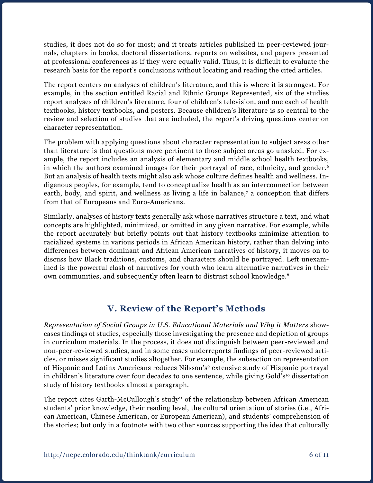studies, it does not do so for most; and it treats articles published in peer-reviewed journals, chapters in books, doctoral dissertations, reports on websites, and papers presented at professional conferences as if they were equally valid. Thus, it is difficult to evaluate the research basis for the report's conclusions without locating and reading the cited articles.

The report centers on analyses of children's literature, and this is where it is strongest. For example, in the section entitled Racial and Ethnic Groups Represented, six of the studies report analyses of children's literature, four of children's television, and one each of health textbooks, history textbooks, and posters. Because children's literature is so central to the review and selection of studies that are included, the report's driving questions center on character representation.

The problem with applying questions about character representation to subject areas other than literature is that questions more pertinent to those subject areas go unasked. For example, the report includes an analysis of elementary and middle school health textbooks, in which the authors examined images for their portrayal of race, ethnicity, and gender.<sup>6</sup> But an analysis of health texts might also ask whose culture defines health and wellness. Indigenous peoples, for example, tend to conceptualize health as an interconnection between earth, body, and spirit, and wellness as living a life in balance,<sup>7</sup> a conception that differs from that of Europeans and Euro-Americans.

Similarly, analyses of history texts generally ask whose narratives structure a text, and what concepts are highlighted, minimized, or omitted in any given narrative. For example, while the report accurately but briefly points out that history textbooks minimize attention to racialized systems in various periods in African American history, rather than delving into differences between dominant and African American narratives of history, it moves on to discuss how Black traditions, customs, and characters should be portrayed. Left unexamined is the powerful clash of narratives for youth who learn alternative narratives in their own communities, and subsequently often learn to distrust school knowledge.8

### **V. Review of the Report's Methods**

*Representation of Social Groups in U.S. Educational Materials and Why it Matters* showcases findings of studies, especially those investigating the presence and depiction of groups in curriculum materials. In the process, it does not distinguish between peer-reviewed and non-peer-reviewed studies, and in some cases underreports findings of peer-reviewed articles, or misses significant studies altogether. For example, the subsection on representation of Hispanic and Latinx Americans reduces Nilsson's9 extensive study of Hispanic portrayal in children's literature over four decades to one sentence, while giving Gold's<sup>10</sup> dissertation study of history textbooks almost a paragraph.

The report cites Garth-McCullough's study<sup>11</sup> of the relationship between African American students' prior knowledge, their reading level, the cultural orientation of stories (i.e., African American, Chinese American, or European American), and students' comprehension of the stories; but only in a footnote with two other sources supporting the idea that culturally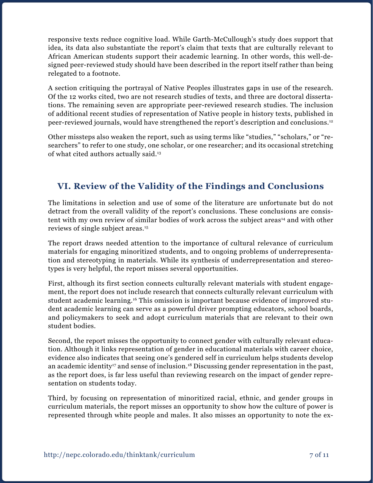responsive texts reduce cognitive load. While Garth-McCullough's study does support that idea, its data also substantiate the report's claim that texts that are culturally relevant to African American students support their academic learning. In other words, this well-designed peer-reviewed study should have been described in the report itself rather than being relegated to a footnote.

A section critiquing the portrayal of Native Peoples illustrates gaps in use of the research. Of the 12 works cited, two are not research studies of texts, and three are doctoral dissertations. The remaining seven are appropriate peer-reviewed research studies. The inclusion of additional recent studies of representation of Native people in history texts, published in peer-reviewed journals, would have strengthened the report's description and conclusions.12

Other missteps also weaken the report, such as using terms like "studies," "scholars," or "researchers" to refer to one study, one scholar, or one researcher; and its occasional stretching of what cited authors actually said.13

## **VI. Review of the Validity of the Findings and Conclusions**

The limitations in selection and use of some of the literature are unfortunate but do not detract from the overall validity of the report's conclusions. These conclusions are consistent with my own review of similar bodies of work across the subject areas<sup>14</sup> and with other reviews of single subject areas.15

The report draws needed attention to the importance of cultural relevance of curriculum materials for engaging minoritized students, and to ongoing problems of underrepresentation and stereotyping in materials. While its synthesis of underrepresentation and stereotypes is very helpful, the report misses several opportunities.

First, although its first section connects culturally relevant materials with student engagement, the report does not include research that connects culturally relevant curriculum with student academic learning.16 This omission is important because evidence of improved student academic learning can serve as a powerful driver prompting educators, school boards, and policymakers to seek and adopt curriculum materials that are relevant to their own student bodies.

Second, the report misses the opportunity to connect gender with culturally relevant education. Although it links representation of gender in educational materials with career choice, evidence also indicates that seeing one's gendered self in curriculum helps students develop an academic identity<sup>17</sup> and sense of inclusion.<sup>18</sup> Discussing gender representation in the past, as the report does, is far less useful than reviewing research on the impact of gender representation on students today.

Third, by focusing on representation of minoritized racial, ethnic, and gender groups in curriculum materials, the report misses an opportunity to show how the culture of power is represented through white people and males. It also misses an opportunity to note the ex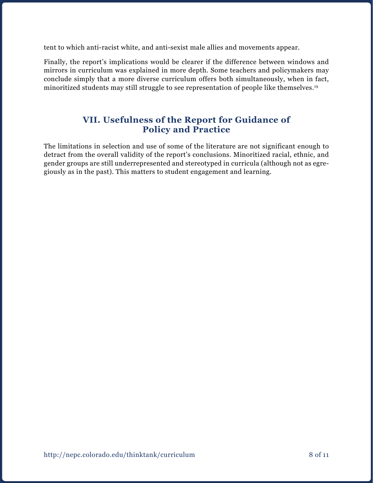tent to which anti-racist white, and anti-sexist male allies and movements appear.

Finally, the report's implications would be clearer if the difference between windows and mirrors in curriculum was explained in more depth. Some teachers and policymakers may conclude simply that a more diverse curriculum offers both simultaneously, when in fact, minoritized students may still struggle to see representation of people like themselves.<sup>19</sup>

#### **VII. Usefulness of the Report for Guidance of Policy and Practice**

The limitations in selection and use of some of the literature are not significant enough to detract from the overall validity of the report's conclusions. Minoritized racial, ethnic, and gender groups are still underrepresented and stereotyped in curricula (although not as egregiously as in the past). This matters to student engagement and learning.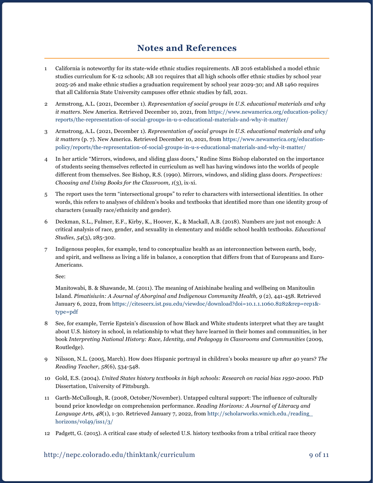#### **Notes and References**

- 1 California is noteworthy for its state-wide ethnic studies requirements. AB 2016 established a model ethnic studies curriculum for K-12 schools; AB 101 requires that all high schools offer ethnic studies by school year 2025-26 and make ethnic studies a graduation requirement by school year 2029-30; and AB 1460 requires that all California State University campuses offer ethnic studies by fall, 2021.
- 2 Armstrong, A.L. (2021, December 1). *Representation of social groups in U.S. educational materials and why it matters*. New America. Retrieved December 10, 2021, from [https://www.newamerica.org/education-policy/](https://www.newamerica.org/education-policy/reports/the-representation-of-social-groups-in-u-s-educational-materials-and-why-it-matter/) [reports/the-representation-of-social-groups-in-u-s-educational-materials-and-why-it-matter/](https://www.newamerica.org/education-policy/reports/the-representation-of-social-groups-in-u-s-educational-materials-and-why-it-matter/)
- 3 Armstrong, A.L. (2021, December 1). *Representation of social groups in U.S. educational materials and why it matters* (p. 7). New America. Retrieved December 10, 2021, from [https://www.newamerica.org/education](https://www.newamerica.org/education-policy/reports/the-representation-of-social-groups-in-u-s-educational-materials-and-why-it-matter/)[policy/reports/the-representation-of-social-groups-in-u-s-educational-materials-and-why-it-matter/](https://www.newamerica.org/education-policy/reports/the-representation-of-social-groups-in-u-s-educational-materials-and-why-it-matter/)
- 4 In her article "Mirrors, windows, and sliding glass doors," Rudine Sims Bishop elaborated on the importance of students seeing themselves reflected in curriculum as well has having windows into the worlds of people different from themselves. See Bishop, R.S. (1990). Mirrors, windows, and sliding glass doors. *Perspectives: Choosing and Using Books for the Classroom, 1*(3), ix-xi.
- 5 The report uses the term "intersectional groups" to refer to characters with intersectional identities. In other words, this refers to analyses of children's books and textbooks that identified more than one identity group of characters (usually race/ethnicity and gender).
- 6 Deckman, S.L., Fulmer, E.F., Kirby, K., Hoover, K., & Mackall, A.B. (2018). Numbers are just not enough: A critical analysis of race, gender, and sexuality in elementary and middle school health textbooks. *Educational Studies, 54*(3), 285-302.
- 7 Indigenous peoples, for example, tend to conceptualize health as an interconnection between earth, body, and spirit, and wellness as living a life in balance, a conception that differs from that of Europeans and Euro-Americans.

See:

Manitowabi, B. & Shawande, M. (2011). The meaning of Anishinabe healing and wellbeing on Manitoulin Island. *Pimatisiwin: A Journal of Aborginal and Indigenous Community Health, 9* (2), 441-458. Retrieved January 6, 2022, from [https://citeseerx.ist.psu.edu/viewdoc/download?doi=10.1.1.1060.8282&rep=rep1&](https://citeseerx.ist.psu.edu/viewdoc/download?doi=10.1.1.1060.8282&rep=rep1&type=pdf) [type=pdf](https://citeseerx.ist.psu.edu/viewdoc/download?doi=10.1.1.1060.8282&rep=rep1&type=pdf)

- 8 See, for example, Terrie Epstein's discussion of how Black and White students interpret what they are taught about U.S. history in school, in relationship to what they have learned in their homes and communities, in her book *Interpreting National History: Race, Identity, and Pedagogy in Classrooms and Communities* (2009, Routledge).
- 9 Nilsson, N.L. (2005, March). How does Hispanic portrayal in children's books measure up after 40 years? *The Reading Teacher, 58*(6), 534-548.
- 10 Gold, E.S. (2004). *United States history textbooks in high schools: Research on racial bias 1950-2000*. PhD Dissertation, University of Pittsburgh.
- 11 Garth-McCullough, R. (2008, October/November). Untapped cultural support: The influence of culturally bound prior knowledge on comprehension performance. *Reading Horizons: A Journal of Literacy and Language Arts, 48*(1), 1-30. Retrieved January 7, 2022, from [http://scholarworks.wmich.edu./reading\\_](http://scholarworks.wmich.edu./reading_horizons/vol49/iss1/3/) [horizons/vol49/iss1/3/](http://scholarworks.wmich.edu./reading_horizons/vol49/iss1/3/)
- 12 Padgett, G. (2015). A critical case study of selected U.S. history textbooks from a tribal critical race theory

#### http://nepc.colorado.edu/thinktank/curriculum 9 of 11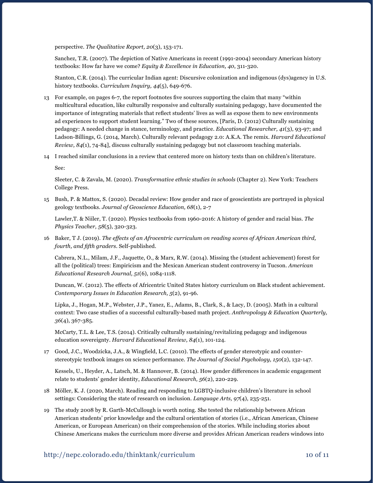perspective. *The Qualitative Report, 20*(3), 153-171.

Sanchez, T.R. (2007). The depiction of Native Americans in recent (1991-2004) secondary American history textbooks: How far have we come? *Equity & Excellence in Education, 40*, 311-320.

Stanton, C.R. (2014). The curricular Indian agent: Discursive colonization and indigenous (dys)agency in U.S. history textbooks. *Curriculum Inquiry, 44*(5), 649-676.

- 13 For example, on pages 6-7, the report footnotes five sources supporting the claim that many "within multicultural education, like culturally responsive and culturally sustaining pedagogy, have documented the importance of integrating materials that reflect students' lives as well as expose them to new environments ad experiences to support student learning." Two of these sources, [Paris, D. (2012) Culturally sustaining pedagogy: A needed change in stance, terminology, and practice. *Educational Researcher, 41*(3), 93-97; and Ladson-Billings, G. (2014, March). Culturally relevant pedagogy 2.0: A.K.A. The remix. *Harvard Educational Review, 84*(1), 74-84], discuss culturally sustaining pedagogy but not classroom teaching materials.
- 14 I reached similar conclusions in a review that centered more on history texts than on children's literature.

See:

Sleeter, C. & Zavala, M. (2020). *Transformative ethnic studies in schools* (Chapter 2). New York: Teachers College Press.

15 Bush, P. & Mattox, S. (2020). Decadal review: How gender and race of geoscientists are portrayed in physical geology textbooks. *Journal of Geoscience Education, 68*(1), 2-7

Lawler,T. & Niiler, T. (2020). Physics textbooks from 1960-2016: A history of gender and racial bias. *The Physics Teacher, 58*(5), 320-323.

16 Baker, T J. (2019). *The effects of an Afrocentric curriculum on reading scores of African American third, fourth, and fifth graders*. Self-published.

Cabrera, N.L., Milam, J.F., Jaquette, O., & Marx, R.W. (2014). Missing the (student achievement) forest for all the (political) trees: Empiricism and the Mexican American student controversy in Tucson. *American Educational Research Journal, 51*(6), 1084-1118.

Duncan, W. (2012). The effects of Africentric United States history curriculum on Black student achievement. *Contemporary Issues in Education Research, 5*(2), 91-96.

Lipka, J., Hogan, M.P., Webster, J.P., Yanez, E., Adams, B., Clark, S., & Lacy, D. (2005). Math in a cultural context: Two case studies of a successful culturally-based math project. *Anthropology & Education Quarterly, 36*(4), 367-385.

McCarty, T.L. & Lee, T.S. (2014). Critically culturally sustaining/revitalizing pedagogy and indigenous education sovereignty. *Harvard Educational Review, 84*(1), 101-124.

17 Good, J.C., Woodzicka, J.A., & Wingfield, L.C. (2010). The effects of gender stereotypic and counterstereotypic textbook images on science performance. *The Journal of Social Psychology, 150*(2), 132-147.

Kessels, U., Heyder, A., Latsch, M. & Hannover, B. (2014). How gender differences in academic engagement relate to students' gender identity, *Educational Research, 56*(2), 220-229.

- 18 Möller, K. J. (2020, March). Reading and responding to LGBTQ-inclusive children's literature in school settings: Considering the state of research on inclusion. *Language Arts, 97*(4), 235-251.
- 19 The study 2008 by R. Garth-McCullough is worth noting. She tested the relationship between African American students' prior knowledge and the cultural orientation of stories (i.e., African American, Chinese American, or European American) on their comprehension of the stories. While including stories about Chinese Americans makes the curriculum more diverse and provides African American readers windows into